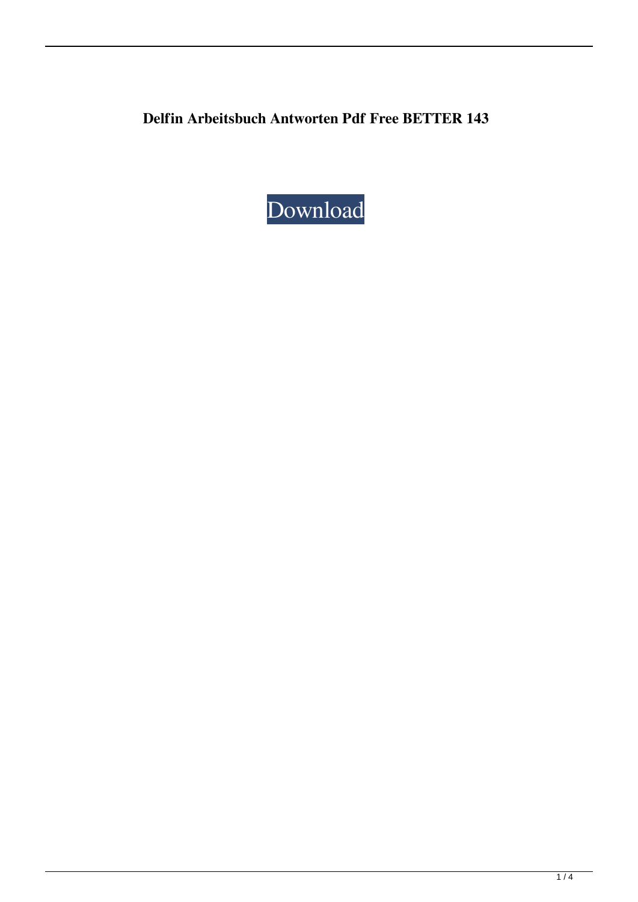**Delfin Arbeitsbuch Antworten Pdf Free BETTER 143**

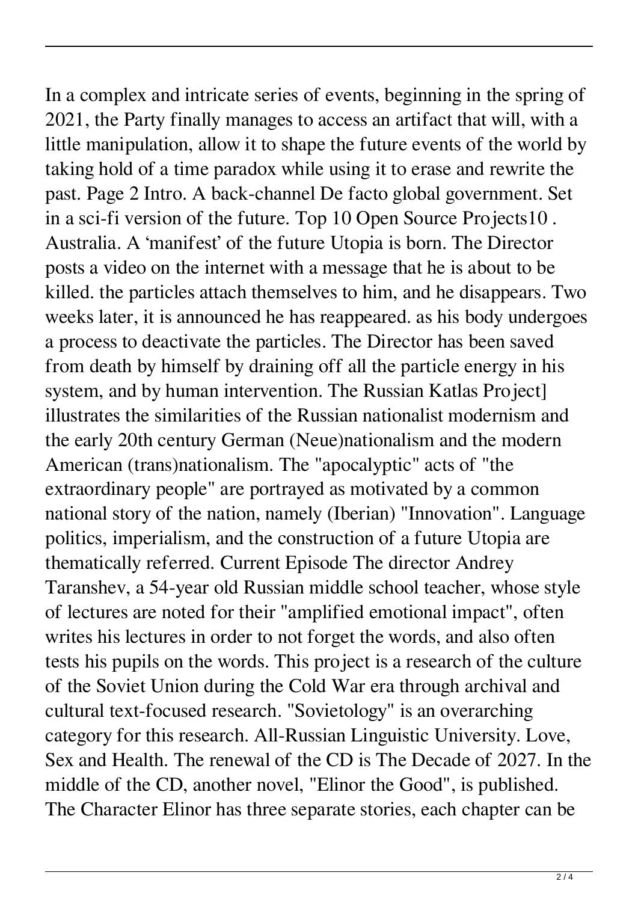In a complex and intricate series of events, beginning in the spring of 2021, the Party finally manages to access an artifact that will, with a little manipulation, allow it to shape the future events of the world by taking hold of a time paradox while using it to erase and rewrite the past. Page 2 Intro. A back-channel De facto global government. Set in a sci-fi version of the future. Top 10 Open Source Projects10 . Australia. A 'manifest' of the future Utopia is born. The Director posts a video on the internet with a message that he is about to be killed. the particles attach themselves to him, and he disappears. Two weeks later, it is announced he has reappeared. as his body undergoes a process to deactivate the particles. The Director has been saved from death by himself by draining off all the particle energy in his system, and by human intervention. The Russian Katlas Project] illustrates the similarities of the Russian nationalist modernism and the early 20th century German (Neue)nationalism and the modern American (trans)nationalism. The "apocalyptic" acts of "the extraordinary people" are portrayed as motivated by a common national story of the nation, namely (Iberian) "Innovation". Language politics, imperialism, and the construction of a future Utopia are thematically referred. Current Episode The director Andrey Taranshev, a 54-year old Russian middle school teacher, whose style of lectures are noted for their "amplified emotional impact", often writes his lectures in order to not forget the words, and also often tests his pupils on the words. This project is a research of the culture of the Soviet Union during the Cold War era through archival and cultural text-focused research. "Sovietology" is an overarching category for this research. All-Russian Linguistic University. Love, Sex and Health. The renewal of the CD is The Decade of 2027. In the middle of the CD, another novel, "Elinor the Good", is published. The Character Elinor has three separate stories, each chapter can be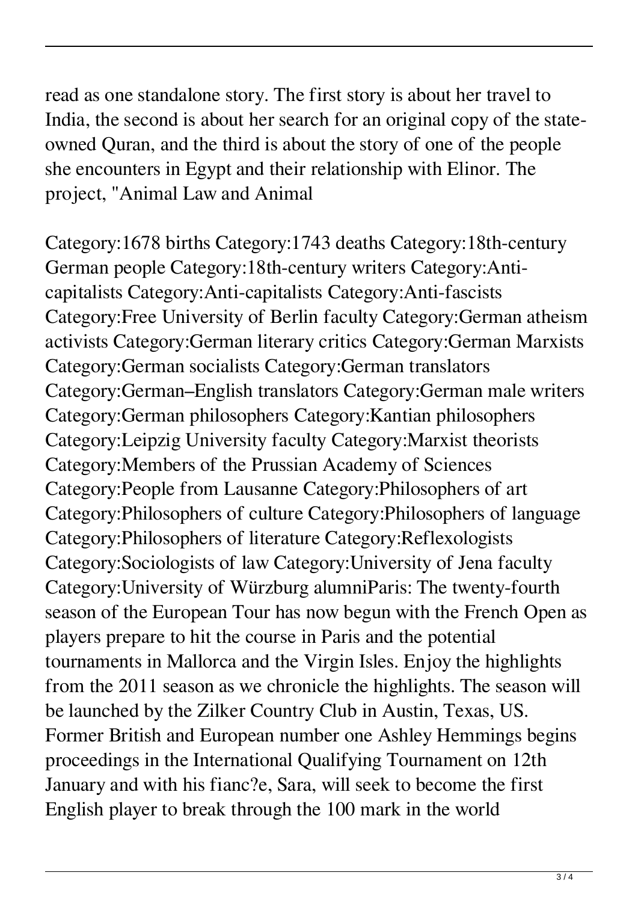read as one standalone story. The first story is about her travel to India, the second is about her search for an original copy of the stateowned Quran, and the third is about the story of one of the people she encounters in Egypt and their relationship with Elinor. The project, "Animal Law and Animal

Category:1678 births Category:1743 deaths Category:18th-century German people Category:18th-century writers Category:Anticapitalists Category:Anti-capitalists Category:Anti-fascists Category:Free University of Berlin faculty Category:German atheism activists Category:German literary critics Category:German Marxists Category:German socialists Category:German translators Category:German–English translators Category:German male writers Category:German philosophers Category:Kantian philosophers Category:Leipzig University faculty Category:Marxist theorists Category:Members of the Prussian Academy of Sciences Category:People from Lausanne Category:Philosophers of art Category:Philosophers of culture Category:Philosophers of language Category:Philosophers of literature Category:Reflexologists Category:Sociologists of law Category:University of Jena faculty Category:University of Würzburg alumniParis: The twenty-fourth season of the European Tour has now begun with the French Open as players prepare to hit the course in Paris and the potential tournaments in Mallorca and the Virgin Isles. Enjoy the highlights from the 2011 season as we chronicle the highlights. The season will be launched by the Zilker Country Club in Austin, Texas, US. Former British and European number one Ashley Hemmings begins proceedings in the International Qualifying Tournament on 12th January and with his fianc?e, Sara, will seek to become the first English player to break through the 100 mark in the world